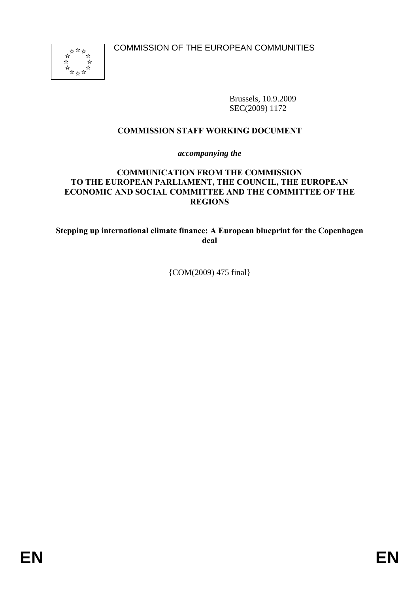

Brussels, 10.9.2009 SEC(2009) 1172

## **COMMISSION STAFF WORKING DOCUMENT**

*accompanying the* 

### **COMMUNICATION FROM THE COMMISSION TO THE EUROPEAN PARLIAMENT, THE COUNCIL, THE EUROPEAN ECONOMIC AND SOCIAL COMMITTEE AND THE COMMITTEE OF THE REGIONS**

**Stepping up international climate finance: A European blueprint for the Copenhagen deal** 

{COM(2009) 475 final}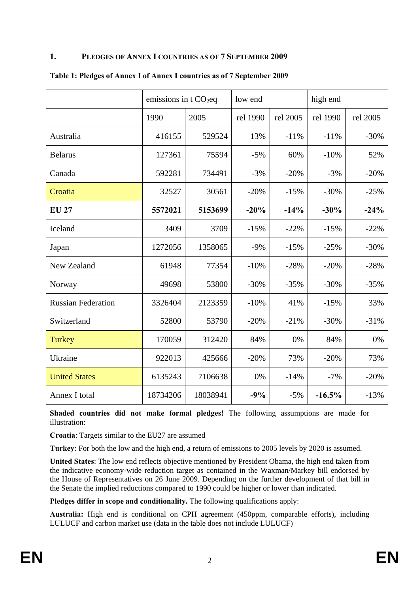### **1. PLEDGES OF ANNEX I COUNTRIES AS OF 7 SEPTEMBER 2009**

|                           | emissions in t $CO2$ eq |          | low end  |          | high end |          |
|---------------------------|-------------------------|----------|----------|----------|----------|----------|
|                           | 1990                    | 2005     | rel 1990 | rel 2005 | rel 1990 | rel 2005 |
| Australia                 | 416155                  | 529524   | 13%      | $-11%$   | $-11%$   | $-30%$   |
| <b>Belarus</b>            | 127361                  | 75594    | $-5%$    | 60%      | $-10%$   | 52%      |
| Canada                    | 592281                  | 734491   | $-3%$    | $-20%$   | $-3%$    | $-20%$   |
| Croatia                   | 32527                   | 30561    | $-20%$   | $-15%$   | $-30%$   | $-25%$   |
| <b>EU 27</b>              | 5572021                 | 5153699  | $-20%$   | $-14%$   | $-30%$   | $-24%$   |
| Iceland                   | 3409                    | 3709     | $-15%$   | $-22%$   | $-15%$   | $-22%$   |
| Japan                     | 1272056                 | 1358065  | $-9%$    | $-15%$   | $-25%$   | $-30%$   |
| New Zealand               | 61948                   | 77354    | $-10%$   | $-28%$   | $-20%$   | $-28%$   |
| Norway                    | 49698                   | 53800    | $-30%$   | $-35%$   | $-30%$   | $-35%$   |
| <b>Russian Federation</b> | 3326404                 | 2123359  | $-10%$   | 41%      | $-15%$   | 33%      |
| Switzerland               | 52800                   | 53790    | $-20%$   | $-21%$   | $-30%$   | $-31%$   |
| Turkey                    | 170059                  | 312420   | 84%      | 0%       | 84%      | 0%       |
| Ukraine                   | 922013                  | 425666   | $-20%$   | 73%      | $-20%$   | 73%      |
| <b>United States</b>      | 6135243                 | 7106638  | 0%       | $-14%$   | $-7%$    | $-20%$   |
| Annex I total             | 18734206                | 18038941 | $-9%$    | $-5%$    | $-16.5%$ | $-13%$   |

#### **Table 1: Pledges of Annex I of Annex I countries as of 7 September 2009**

**Shaded countries did not make formal pledges!** The following assumptions are made for illustration:

**Croatia**: Targets similar to the EU27 are assumed

**Turkey**: For both the low and the high end, a return of emissions to 2005 levels by 2020 is assumed.

**United States**: The low end reflects objective mentioned by President Obama, the high end taken from the indicative economy-wide reduction target as contained in the Waxman/Markey bill endorsed by the House of Representatives on 26 June 2009. Depending on the further development of that bill in the Senate the implied reductions compared to 1990 could be higher or lower than indicated.

#### **Pledges differ in scope and conditionality.** The following qualifications apply:

**Australia:** High end is conditional on CPH agreement (450ppm, comparable efforts), including LULUCF and carbon market use (data in the table does not include LULUCF)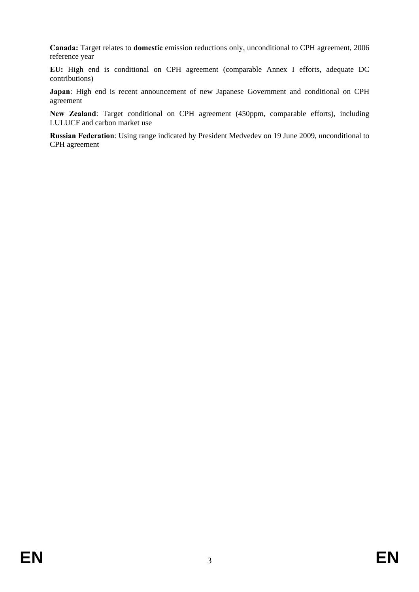**Canada:** Target relates to **domestic** emission reductions only, unconditional to CPH agreement, 2006 reference year

**EU:** High end is conditional on CPH agreement (comparable Annex I efforts, adequate DC contributions)

**Japan**: High end is recent announcement of new Japanese Government and conditional on CPH agreement

**New Zealand**: Target conditional on CPH agreement (450ppm, comparable efforts), including LULUCF and carbon market use

**Russian Federation**: Using range indicated by President Medvedev on 19 June 2009, unconditional to CPH agreement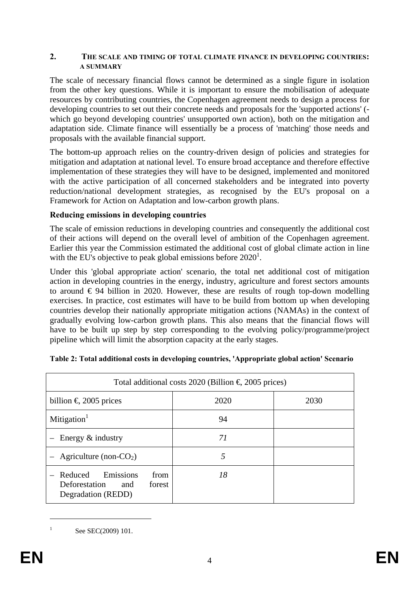#### **2. THE SCALE AND TIMING OF TOTAL CLIMATE FINANCE IN DEVELOPING COUNTRIES: A SUMMARY**

The scale of necessary financial flows cannot be determined as a single figure in isolation from the other key questions. While it is important to ensure the mobilisation of adequate resources by contributing countries, the Copenhagen agreement needs to design a process for developing countries to set out their concrete needs and proposals for the 'supported actions' ( which go beyond developing countries' unsupported own action), both on the mitigation and adaptation side. Climate finance will essentially be a process of 'matching' those needs and proposals with the available financial support.

The bottom-up approach relies on the country-driven design of policies and strategies for mitigation and adaptation at national level. To ensure broad acceptance and therefore effective implementation of these strategies they will have to be designed, implemented and monitored with the active participation of all concerned stakeholders and be integrated into poverty reduction/national development strategies, as recognised by the EU's proposal on a Framework for Action on Adaptation and low-carbon growth plans.

## **Reducing emissions in developing countries**

The scale of emission reductions in developing countries and consequently the additional cost of their actions will depend on the overall level of ambition of the Copenhagen agreement. Earlier this year the Commission estimated the additional cost of global climate action in line with the EU's objective to peak global emissions before  $2020^1$ .

Under this 'global appropriate action' scenario, the total net additional cost of mitigation action in developing countries in the energy, industry, agriculture and forest sectors amounts to around  $\epsilon$  94 billion in 2020. However, these are results of rough top-down modelling exercises. In practice, cost estimates will have to be build from bottom up when developing countries develop their nationally appropriate mitigation actions (NAMAs) in the context of gradually evolving low-carbon growth plans. This also means that the financial flows will have to be built up step by step corresponding to the evolving policy/programme/project pipeline which will limit the absorption capacity at the early stages.

| Total additional costs 2020 (Billion $\epsilon$ 2005 prices)                           |      |      |  |  |  |  |
|----------------------------------------------------------------------------------------|------|------|--|--|--|--|
| billion $\epsilon$ 2005 prices                                                         | 2020 | 2030 |  |  |  |  |
| Mitigation <sup>1</sup>                                                                | 94   |      |  |  |  |  |
| - Energy $&$ industry                                                                  | 71   |      |  |  |  |  |
| - Agriculture (non- $CO2$ )                                                            | 5    |      |  |  |  |  |
| Emissions<br>- Reduced<br>from<br>Deforestation<br>forest<br>and<br>Degradation (REDD) | 18   |      |  |  |  |  |

|  |  |  | Table 2: Total additional costs in developing countries, 'Appropriate global action' Scenario |  |
|--|--|--|-----------------------------------------------------------------------------------------------|--|
|  |  |  |                                                                                               |  |

1 1

See SEC(2009) 101.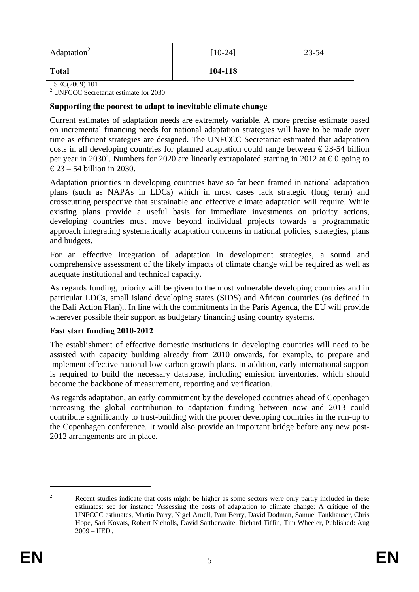| Adaptation <sup>2</sup>                                                   | $[10-24]$ | 23-54 |
|---------------------------------------------------------------------------|-----------|-------|
| <b>Total</b>                                                              | 104-118   |       |
| $^{1}$ SEC(2009) 101<br><sup>2</sup> UNFCCC Secretariat estimate for 2030 |           |       |

## **Supporting the poorest to adapt to inevitable climate change**

Current estimates of adaptation needs are extremely variable. A more precise estimate based on incremental financing needs for national adaptation strategies will have to be made over time as efficient strategies are designed. The UNFCCC Secretariat estimated that adaptation costs in all developing countries for planned adaptation could range between  $\epsilon$ 23-54 billion per year in 2030<sup>2</sup>. Numbers for 2020 are linearly extrapolated starting in 2012 at  $\epsilon$ 0 going to  $\text{\textsterling}23 - 54$  billion in 2030.

Adaptation priorities in developing countries have so far been framed in national adaptation plans (such as NAPAs in LDCs) which in most cases lack strategic (long term) and crosscutting perspective that sustainable and effective climate adaptation will require. While existing plans provide a useful basis for immediate investments on priority actions, developing countries must move beyond individual projects towards a programmatic approach integrating systematically adaptation concerns in national policies, strategies, plans and budgets.

For an effective integration of adaptation in development strategies, a sound and comprehensive assessment of the likely impacts of climate change will be required as well as adequate institutional and technical capacity.

As regards funding, priority will be given to the most vulnerable developing countries and in particular LDCs, small island developing states (SIDS) and African countries (as defined in the Bali Action Plan),. In line with the commitments in the Paris Agenda, the EU will provide wherever possible their support as budgetary financing using country systems.

### **Fast start funding 2010-2012**

The establishment of effective domestic institutions in developing countries will need to be assisted with capacity building already from 2010 onwards, for example, to prepare and implement effective national low-carbon growth plans. In addition, early international support is required to build the necessary database, including emission inventories, which should become the backbone of measurement, reporting and verification.

As regards adaptation, an early commitment by the developed countries ahead of Copenhagen increasing the global contribution to adaptation funding between now and 2013 could contribute significantly to trust-building with the poorer developing countries in the run-up to the Copenhagen conference. It would also provide an important bridge before any new post-2012 arrangements are in place.

<u>.</u>

 $\overline{2}$  Recent studies indicate that costs might be higher as some sectors were only partly included in these estimates: see for instance 'Assessing the costs of adaptation to climate change: A critique of the UNFCCC estimates, Martin Parry, Nigel Arnell, Pam Berry, David Dodman, Samuel Fankhauser, Chris Hope, Sari Kovats, Robert Nicholls, David Sattherwaite, Richard Tiffin, Tim Wheeler, Published: Aug 2009 – IIED'.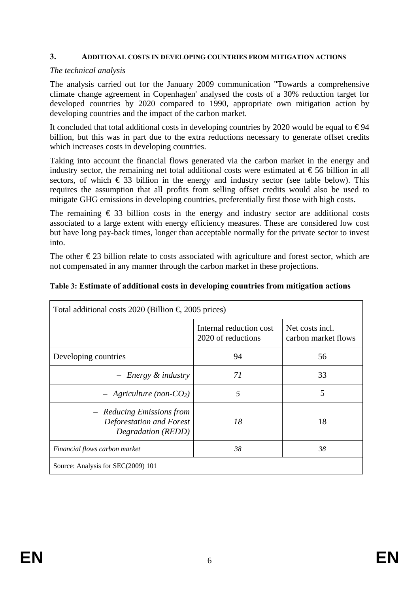#### **3. ADDITIONAL COSTS IN DEVELOPING COUNTRIES FROM MITIGATION ACTIONS**

### *The technical analysis*

The analysis carried out for the January 2009 communication "Towards a comprehensive climate change agreement in Copenhagen' analysed the costs of a 30% reduction target for developed countries by 2020 compared to 1990, appropriate own mitigation action by developing countries and the impact of the carbon market.

It concluded that total additional costs in developing countries by 2020 would be equal to  $\epsilon$ 94 billion, but this was in part due to the extra reductions necessary to generate offset credits which increases costs in developing countries.

Taking into account the financial flows generated via the carbon market in the energy and industry sector, the remaining net total additional costs were estimated at  $\epsilon$ 56 billion in all sectors, of which  $\epsilon$  33 billion in the energy and industry sector (see table below). This requires the assumption that all profits from selling offset credits would also be used to mitigate GHG emissions in developing countries, preferentially first those with high costs.

The remaining  $\epsilon$  33 billion costs in the energy and industry sector are additional costs associated to a large extent with energy efficiency measures. These are considered low cost but have long pay-back times, longer than acceptable normally for the private sector to invest into.

The other  $\epsilon$ 23 billion relate to costs associated with agriculture and forest sector, which are not compensated in any manner through the carbon market in these projections.

| Total additional costs 2020 (Billion $\epsilon$ 2005 prices)                |                                               |                                        |  |  |  |  |
|-----------------------------------------------------------------------------|-----------------------------------------------|----------------------------------------|--|--|--|--|
|                                                                             | Internal reduction cost<br>2020 of reductions | Net costs incl.<br>carbon market flows |  |  |  |  |
| Developing countries                                                        | 94                                            | 56                                     |  |  |  |  |
| $-$ Energy $\&$ industry                                                    | 71                                            | 33                                     |  |  |  |  |
| $-$ Agriculture (non-CO <sub>2</sub> )                                      | 5                                             | 5                                      |  |  |  |  |
| - Reducing Emissions from<br>Deforestation and Forest<br>Degradation (REDD) | 18                                            | 18                                     |  |  |  |  |
| Financial flows carbon market                                               | 38                                            | 38                                     |  |  |  |  |
| Source: Analysis for SEC(2009) 101                                          |                                               |                                        |  |  |  |  |

#### **Table 3: Estimate of additional costs in developing countries from mitigation actions**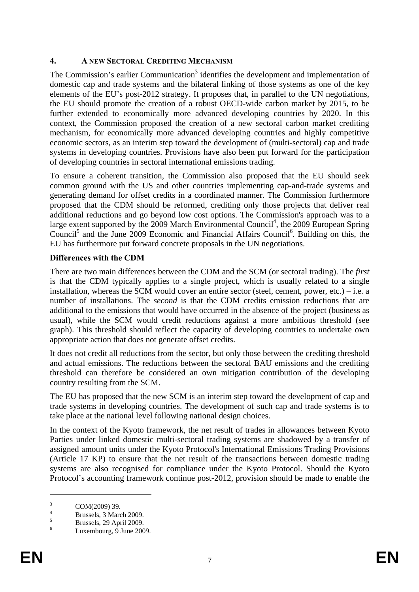# **4. A NEW SECTORAL CREDITING MECHANISM**

The Commission's earlier Communication<sup>3</sup> identifies the development and implementation of domestic cap and trade systems and the bilateral linking of those systems as one of the key elements of the EU's post-2012 strategy. It proposes that, in parallel to the UN negotiations, the EU should promote the creation of a robust OECD-wide carbon market by 2015, to be further extended to economically more advanced developing countries by 2020. In this context, the Commission proposed the creation of a new sectoral carbon market crediting mechanism, for economically more advanced developing countries and highly competitive economic sectors, as an interim step toward the development of (multi-sectoral) cap and trade systems in developing countries. Provisions have also been put forward for the participation of developing countries in sectoral international emissions trading.

To ensure a coherent transition, the Commission also proposed that the EU should seek common ground with the US and other countries implementing cap-and-trade systems and generating demand for offset credits in a coordinated manner. The Commission furthermore proposed that the CDM should be reformed, crediting only those projects that deliver real additional reductions and go beyond low cost options. The Commission's approach was to a large extent supported by the 2009 March Environmental Council<sup>4</sup>, the 2009 European Spring Council<sup>5</sup> and the June 2009 Economic and Financial Affairs Council<sup>6</sup>. Building on this, the EU has furthermore put forward concrete proposals in the UN negotiations.

# **Differences with the CDM**

There are two main differences between the CDM and the SCM (or sectoral trading). The *first* is that the CDM typically applies to a single project, which is usually related to a single installation, whereas the SCM would cover an entire sector (steel, cement, power, etc.) – i.e. a number of installations. The *second* is that the CDM credits emission reductions that are additional to the emissions that would have occurred in the absence of the project (business as usual), while the SCM would credit reductions against a more ambitious threshold (see graph). This threshold should reflect the capacity of developing countries to undertake own appropriate action that does not generate offset credits.

It does not credit all reductions from the sector, but only those between the crediting threshold and actual emissions. The reductions between the sectoral BAU emissions and the crediting threshold can therefore be considered an own mitigation contribution of the developing country resulting from the SCM.

The EU has proposed that the new SCM is an interim step toward the development of cap and trade systems in developing countries. The development of such cap and trade systems is to take place at the national level following national design choices.

In the context of the Kyoto framework, the net result of trades in allowances between Kyoto Parties under linked domestic multi-sectoral trading systems are shadowed by a transfer of assigned amount units under the Kyoto Protocol's International Emissions Trading Provisions (Article 17 KP) to ensure that the net result of the transactions between domestic trading systems are also recognised for compliance under the Kyoto Protocol. Should the Kyoto Protocol's accounting framework continue post-2012, provision should be made to enable the

1

<sup>3</sup> COM(2009) 39.

<sup>4</sup> Brussels, 3 March 2009. 5

Brussels, 29 April 2009.

<sup>6</sup> Luxembourg, 9 June 2009.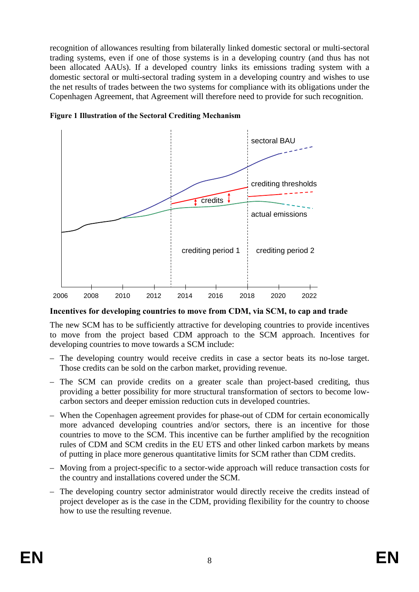recognition of allowances resulting from bilaterally linked domestic sectoral or multi-sectoral trading systems, even if one of those systems is in a developing country (and thus has not been allocated AAUs). If a developed country links its emissions trading system with a domestic sectoral or multi-sectoral trading system in a developing country and wishes to use the net results of trades between the two systems for compliance with its obligations under the Copenhagen Agreement, that Agreement will therefore need to provide for such recognition.



**Figure 1 Illustration of the Sectoral Crediting Mechanism** 

**Incentives for developing countries to move from CDM, via SCM, to cap and trade** 

The new SCM has to be sufficiently attractive for developing countries to provide incentives to move from the project based CDM approach to the SCM approach. Incentives for developing countries to move towards a SCM include:

- The developing country would receive credits in case a sector beats its no-lose target. Those credits can be sold on the carbon market, providing revenue.
- The SCM can provide credits on a greater scale than project-based crediting, thus providing a better possibility for more structural transformation of sectors to become lowcarbon sectors and deeper emission reduction cuts in developed countries.
- When the Copenhagen agreement provides for phase-out of CDM for certain economically more advanced developing countries and/or sectors, there is an incentive for those countries to move to the SCM. This incentive can be further amplified by the recognition rules of CDM and SCM credits in the EU ETS and other linked carbon markets by means of putting in place more generous quantitative limits for SCM rather than CDM credits.
- Moving from a project-specific to a sector-wide approach will reduce transaction costs for the country and installations covered under the SCM.
- The developing country sector administrator would directly receive the credits instead of project developer as is the case in the CDM, providing flexibility for the country to choose how to use the resulting revenue.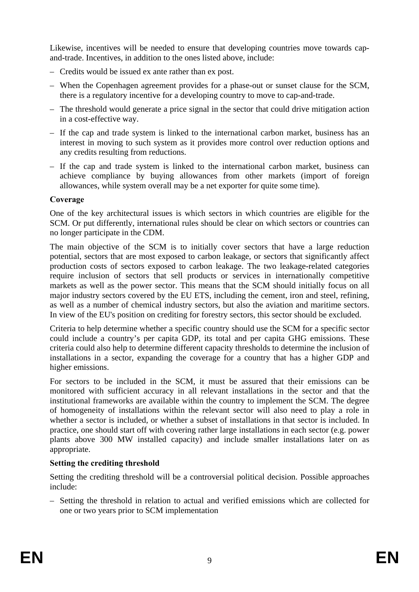Likewise, incentives will be needed to ensure that developing countries move towards capand-trade. Incentives, in addition to the ones listed above, include:

- Credits would be issued ex ante rather than ex post.
- When the Copenhagen agreement provides for a phase-out or sunset clause for the SCM, there is a regulatory incentive for a developing country to move to cap-and-trade.
- The threshold would generate a price signal in the sector that could drive mitigation action in a cost-effective way.
- If the cap and trade system is linked to the international carbon market, business has an interest in moving to such system as it provides more control over reduction options and any credits resulting from reductions.
- If the cap and trade system is linked to the international carbon market, business can achieve compliance by buying allowances from other markets (import of foreign allowances, while system overall may be a net exporter for quite some time).

# **Coverage**

One of the key architectural issues is which sectors in which countries are eligible for the SCM. Or put differently, international rules should be clear on which sectors or countries can no longer participate in the CDM.

The main objective of the SCM is to initially cover sectors that have a large reduction potential, sectors that are most exposed to carbon leakage, or sectors that significantly affect production costs of sectors exposed to carbon leakage. The two leakage-related categories require inclusion of sectors that sell products or services in internationally competitive markets as well as the power sector. This means that the SCM should initially focus on all major industry sectors covered by the EU ETS, including the cement, iron and steel, refining, as well as a number of chemical industry sectors, but also the aviation and maritime sectors. In view of the EU's position on crediting for forestry sectors, this sector should be excluded.

Criteria to help determine whether a specific country should use the SCM for a specific sector could include a country's per capita GDP, its total and per capita GHG emissions. These criteria could also help to determine different capacity thresholds to determine the inclusion of installations in a sector, expanding the coverage for a country that has a higher GDP and higher emissions.

For sectors to be included in the SCM, it must be assured that their emissions can be monitored with sufficient accuracy in all relevant installations in the sector and that the institutional frameworks are available within the country to implement the SCM. The degree of homogeneity of installations within the relevant sector will also need to play a role in whether a sector is included, or whether a subset of installations in that sector is included. In practice, one should start off with covering rather large installations in each sector (e.g. power plants above 300 MW installed capacity) and include smaller installations later on as appropriate.

# **Setting the crediting threshold**

Setting the crediting threshold will be a controversial political decision. Possible approaches include:

– Setting the threshold in relation to actual and verified emissions which are collected for one or two years prior to SCM implementation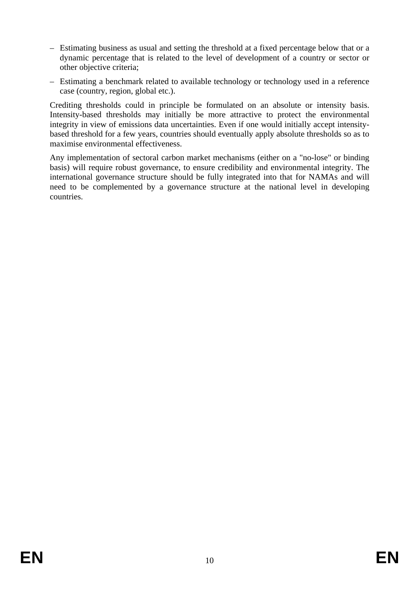- Estimating business as usual and setting the threshold at a fixed percentage below that or a dynamic percentage that is related to the level of development of a country or sector or other objective criteria;
- Estimating a benchmark related to available technology or technology used in a reference case (country, region, global etc.).

Crediting thresholds could in principle be formulated on an absolute or intensity basis. Intensity-based thresholds may initially be more attractive to protect the environmental integrity in view of emissions data uncertainties. Even if one would initially accept intensitybased threshold for a few years, countries should eventually apply absolute thresholds so as to maximise environmental effectiveness.

Any implementation of sectoral carbon market mechanisms (either on a "no-lose" or binding basis) will require robust governance, to ensure credibility and environmental integrity. The international governance structure should be fully integrated into that for NAMAs and will need to be complemented by a governance structure at the national level in developing countries.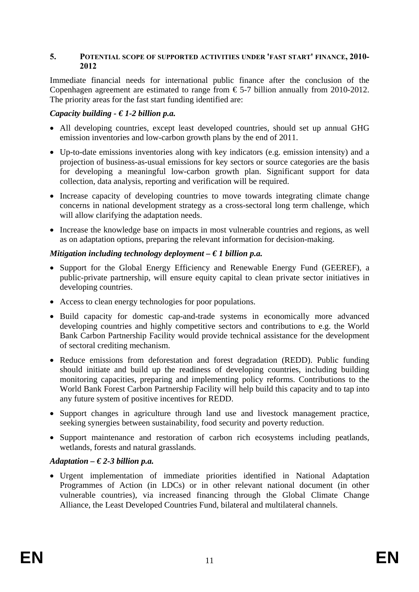### **5. POTENTIAL SCOPE OF SUPPORTED ACTIVITIES UNDER 'FAST START' FINANCE, 2010- 2012**

Immediate financial needs for international public finance after the conclusion of the Copenhagen agreement are estimated to range from  $\epsilon$ 5-7 billion annually from 2010-2012. The priority areas for the fast start funding identified are:

## *Capacity building - € 1-2 billion p.a.*

- All developing countries, except least developed countries, should set up annual GHG emission inventories and low-carbon growth plans by the end of 2011.
- Up-to-date emissions inventories along with key indicators (e.g. emission intensity) and a projection of business-as-usual emissions for key sectors or source categories are the basis for developing a meaningful low-carbon growth plan. Significant support for data collection, data analysis, reporting and verification will be required.
- Increase capacity of developing countries to move towards integrating climate change concerns in national development strategy as a cross-sectoral long term challenge, which will allow clarifying the adaptation needs.
- Increase the knowledge base on impacts in most vulnerable countries and regions, as well as on adaptation options, preparing the relevant information for decision-making.

### *Mitigation including technology deployment – € 1 billion p.a.*

- Support for the Global Energy Efficiency and Renewable Energy Fund (GEEREF), a public-private partnership, will ensure equity capital to clean private sector initiatives in developing countries.
- Access to clean energy technologies for poor populations.
- Build capacity for domestic cap-and-trade systems in economically more advanced developing countries and highly competitive sectors and contributions to e.g. the World Bank Carbon Partnership Facility would provide technical assistance for the development of sectoral crediting mechanism.
- Reduce emissions from deforestation and forest degradation (REDD). Public funding should initiate and build up the readiness of developing countries, including building monitoring capacities, preparing and implementing policy reforms. Contributions to the World Bank Forest Carbon Partnership Facility will help build this capacity and to tap into any future system of positive incentives for REDD.
- Support changes in agriculture through land use and livestock management practice, seeking synergies between sustainability, food security and poverty reduction.
- Support maintenance and restoration of carbon rich ecosystems including peatlands, wetlands, forests and natural grasslands.

### *Adaptation – € 2-3 billion p.a.*

• Urgent implementation of immediate priorities identified in National Adaptation Programmes of Action (in LDCs) or in other relevant national document (in other vulnerable countries), via increased financing through the Global Climate Change Alliance, the Least Developed Countries Fund, bilateral and multilateral channels.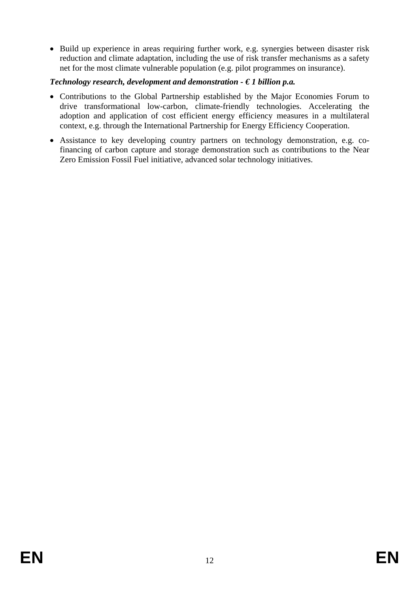• Build up experience in areas requiring further work, e.g. synergies between disaster risk reduction and climate adaptation, including the use of risk transfer mechanisms as a safety net for the most climate vulnerable population (e.g. pilot programmes on insurance).

# *Technology research, development and demonstration - € 1 billion p.a.*

- Contributions to the Global Partnership established by the Major Economies Forum to drive transformational low-carbon, climate-friendly technologies. Accelerating the adoption and application of cost efficient energy efficiency measures in a multilateral context, e.g. through the International Partnership for Energy Efficiency Cooperation.
- Assistance to key developing country partners on technology demonstration, e.g. cofinancing of carbon capture and storage demonstration such as contributions to the Near Zero Emission Fossil Fuel initiative, advanced solar technology initiatives.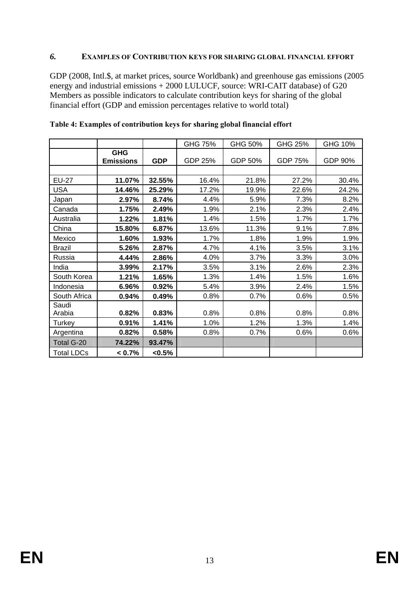### *6.* **EXAMPLES OF CONTRIBUTION KEYS FOR SHARING GLOBAL FINANCIAL EFFORT**

GDP (2008, Intl.\$, at market prices, source Worldbank) and greenhouse gas emissions (2005 energy and industrial emissions + 2000 LULUCF, source: WRI-CAIT database) of G20 Members as possible indicators to calculate contribution keys for sharing of the global financial effort (GDP and emission percentages relative to world total)

|                   |                                |            | GHG 75% | GHG 50% | GHG 25% | GHG 10% |
|-------------------|--------------------------------|------------|---------|---------|---------|---------|
|                   | <b>GHG</b><br><b>Emissions</b> | <b>GDP</b> | GDP 25% | GDP 50% | GDP 75% | GDP 90% |
|                   |                                |            |         |         |         |         |
| <b>EU-27</b>      | 11.07%                         | 32.55%     | 16.4%   | 21.8%   | 27.2%   | 30.4%   |
| <b>USA</b>        | 14.46%                         | 25.29%     | 17.2%   | 19.9%   | 22.6%   | 24.2%   |
| Japan             | 2.97%                          | 8.74%      | 4.4%    | 5.9%    | 7.3%    | 8.2%    |
| Canada            | 1.75%                          | 2.49%      | 1.9%    | 2.1%    | 2.3%    | 2.4%    |
| Australia         | 1.22%                          | 1.81%      | 1.4%    | 1.5%    | 1.7%    | 1.7%    |
| China             | 15.80%                         | 6.87%      | 13.6%   | 11.3%   | 9.1%    | 7.8%    |
| Mexico            | 1.60%                          | 1.93%      | 1.7%    | 1.8%    | 1.9%    | 1.9%    |
| <b>Brazil</b>     | 5.26%                          | 2.87%      | 4.7%    | 4.1%    | 3.5%    | 3.1%    |
| Russia            | 4.44%                          | 2.86%      | 4.0%    | 3.7%    | 3.3%    | 3.0%    |
| India             | 3.99%                          | 2.17%      | 3.5%    | 3.1%    | 2.6%    | 2.3%    |
| South Korea       | 1.21%                          | 1.65%      | 1.3%    | 1.4%    | 1.5%    | 1.6%    |
| Indonesia         | 6.96%                          | 0.92%      | 5.4%    | 3.9%    | 2.4%    | 1.5%    |
| South Africa      | 0.94%                          | 0.49%      | 0.8%    | 0.7%    | 0.6%    | 0.5%    |
| Saudi<br>Arabia   | 0.82%                          | 0.83%      | 0.8%    | 0.8%    | 0.8%    | 0.8%    |
| Turkey            | 0.91%                          | 1.41%      | 1.0%    | 1.2%    | 1.3%    | 1.4%    |
| Argentina         | 0.82%                          | 0.58%      | 0.8%    | 0.7%    | $0.6\%$ | 0.6%    |
| Total G-20        | 74.22%                         | 93.47%     |         |         |         |         |
| <b>Total LDCs</b> | < 0.7%                         | <0.5%      |         |         |         |         |

### **Table 4: Examples of contribution keys for sharing global financial effort**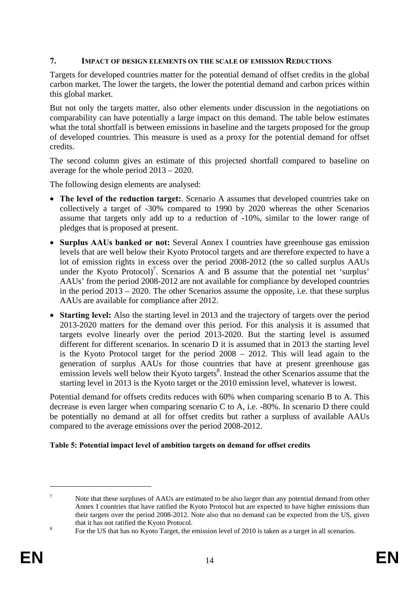# **7. IMPACT OF DESIGN ELEMENTS ON THE SCALE OF EMISSION REDUCTIONS**

Targets for developed countries matter for the potential demand of offset credits in the global carbon market. The lower the targets, the lower the potential demand and carbon prices within this global market.

But not only the targets matter, also other elements under discussion in the negotiations on comparability can have potentially a large impact on this demand. The table below estimates what the total shortfall is between emissions in baseline and the targets proposed for the group of developed countries. This measure is used as a proxy for the potential demand for offset credits.

The second column gives an estimate of this projected shortfall compared to baseline on average for the whole period 2013 – 2020.

The following design elements are analysed:

- **The level of the reduction target:**. Scenario A assumes that developed countries take on collectively a target of -30% compared to 1990 by 2020 whereas the other Scenarios assume that targets only add up to a reduction of -10%, similar to the lower range of pledges that is proposed at present.
- **Surplus AAUs banked or not:** Several Annex I countries have greenhouse gas emission levels that are well below their Kyoto Protocol targets and are therefore expected to have a lot of emission rights in excess over the period 2008-2012 (the so called surplus AAUs under the Kyoto Protocol)<sup>7</sup>. Scenarios A and B assume that the potential net 'surplus' AAUs' from the period 2008-2012 are not available for compliance by developed countries in the period 2013 – 2020. The other Scenarios assume the opposite, i.e. that these surplus AAUs are available for compliance after 2012.
- **Starting level:** Also the starting level in 2013 and the trajectory of targets over the period 2013-2020 matters for the demand over this period. For this analysis it is assumed that targets evolve linearly over the period 2013-2020. But the starting level is assumed different for different scenarios. In scenario D it is assumed that in 2013 the starting level is the Kyoto Protocol target for the period 2008 – 2012. This will lead again to the generation of surplus AAUs for those countries that have at present greenhouse gas emission levels well below their Kyoto targets<sup>8</sup>. Instead the other Scenarios assume that the starting level in 2013 is the Kyoto target or the 2010 emission level, whatever is lowest.

Potential demand for offsets credits reduces with 60% when comparing scenario B to A. This decrease is even larger when comparing scenario C to A, i.e. -80%. In scenario D there could be potentially no demand at all for offset credits but rather a surpluss of available AAUs compared to the average emissions over the period 2008-2012.

### **Table 5: Potential impact level of ambition targets on demand for offset credits**

<u>.</u>

<sup>7</sup> Note that these surpluses of AAUs are estimated to be also larger than any potential demand from other Annex I countries that have ratified the Kyoto Protocol but are expected to have higher emissions than their targets over the period 2008-2012. Note also that no demand can be expected from the US, given that it has not ratified the Kyoto Protocol.

For the US that has no Kyoto Target, the emission level of 2010 is taken as a target in all scenarios.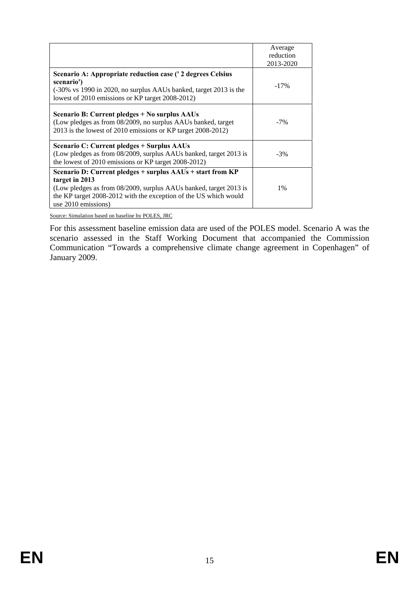|                                                                                                                                                                                                                                              | Average<br>reduction<br>2013-2020 |
|----------------------------------------------------------------------------------------------------------------------------------------------------------------------------------------------------------------------------------------------|-----------------------------------|
| Scenario A: Appropriate reduction case (' 2 degrees Celsius<br>scenario')<br>$(-30\% \text{ vs } 1990 \text{ in } 2020, \text{ no surplus AAUs banked, target } 2013 \text{ is the }$<br>lowest of 2010 emissions or KP target 2008-2012)    | $-17\%$                           |
| Scenario B: Current pledges + No surplus AAUs<br>(Low pledges as from 08/2009, no surplus AAUs banked, target<br>2013 is the lowest of 2010 emissions or KP target 2008-2012)                                                                | $-7\%$                            |
| Scenario C: Current pledges + Surplus AAUs<br>(Low pledges as from 08/2009, surplus AAUs banked, target 2013 is<br>the lowest of 2010 emissions or KP target 2008-2012)                                                                      | $-3\%$                            |
| Scenario D: Current pledges + surplus AAUs + start from KP<br>target in 2013<br>(Low pledges as from 08/2009, surplus AAUs banked, target 2013 is<br>the KP target 2008-2012 with the exception of the US which would<br>use 2010 emissions) | $1\%$                             |

Source: Simulation based on baseline by POLES, JRC

For this assessment baseline emission data are used of the POLES model. Scenario A was the scenario assessed in the Staff Working Document that accompanied the Commission Communication "Towards a comprehensive climate change agreement in Copenhagen" of January 2009.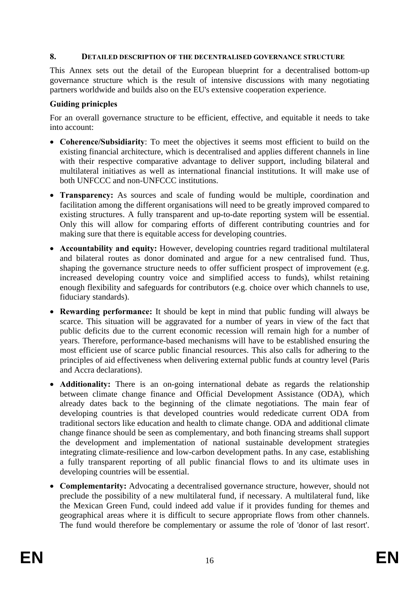### **8. DETAILED DESCRIPTION OF THE DECENTRALISED GOVERNANCE STRUCTURE**

This Annex sets out the detail of the European blueprint for a decentralised bottom-up governance structure which is the result of intensive discussions with many negotiating partners worldwide and builds also on the EU's extensive cooperation experience.

### **Guiding prinicples**

For an overall governance structure to be efficient, effective, and equitable it needs to take into account:

- **Coherence/Subsidiarity**: To meet the objectives it seems most efficient to build on the existing financial architecture, which is decentralised and applies different channels in line with their respective comparative advantage to deliver support, including bilateral and multilateral initiatives as well as international financial institutions. It will make use of both UNFCCC and non-UNFCCC institutions.
- **Transparency:** As sources and scale of funding would be multiple, coordination and facilitation among the different organisations will need to be greatly improved compared to existing structures. A fully transparent and up-to-date reporting system will be essential. Only this will allow for comparing efforts of different contributing countries and for making sure that there is equitable access for developing countries.
- **Accountability and equity:** However, developing countries regard traditional multilateral and bilateral routes as donor dominated and argue for a new centralised fund. Thus, shaping the governance structure needs to offer sufficient prospect of improvement (e.g. increased developing country voice and simplified access to funds), whilst retaining enough flexibility and safeguards for contributors (e.g. choice over which channels to use, fiduciary standards).
- **Rewarding performance:** It should be kept in mind that public funding will always be scarce. This situation will be aggravated for a number of years in view of the fact that public deficits due to the current economic recession will remain high for a number of years. Therefore, performance-based mechanisms will have to be established ensuring the most efficient use of scarce public financial resources. This also calls for adhering to the principles of aid effectiveness when delivering external public funds at country level (Paris and Accra declarations).
- **Additionality:** There is an on-going international debate as regards the relationship between climate change finance and Official Development Assistance (ODA), which already dates back to the beginning of the climate negotiations. The main fear of developing countries is that developed countries would rededicate current ODA from traditional sectors like education and health to climate change. ODA and additional climate change finance should be seen as complementary, and both financing streams shall support the development and implementation of national sustainable development strategies integrating climate-resilience and low-carbon development paths. In any case, establishing a fully transparent reporting of all public financial flows to and its ultimate uses in developing countries will be essential.
- **Complementarity:** Advocating a decentralised governance structure, however, should not preclude the possibility of a new multilateral fund, if necessary. A multilateral fund, like the Mexican Green Fund, could indeed add value if it provides funding for themes and geographical areas where it is difficult to secure appropriate flows from other channels. The fund would therefore be complementary or assume the role of 'donor of last resort'.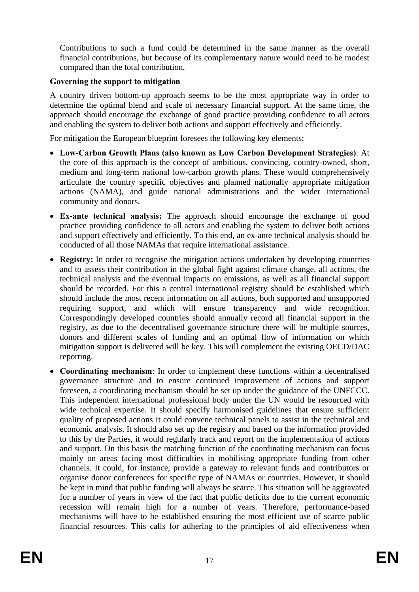Contributions to such a fund could be determined in the same manner as the overall financial contributions, but because of its complementary nature would need to be modest compared than the total contribution.

# **Governing the support to mitigation**

A country driven bottom-up approach seems to be the most appropriate way in order to determine the optimal blend and scale of necessary financial support. At the same time, the approach should encourage the exchange of good practice providing confidence to all actors and enabling the system to deliver both actions and support effectively and efficiently.

For mitigation the European blueprint foresees the following key elements:

- **Low-Carbon Growth Plans (also known as Low Carbon Development Strategies)**: At the core of this approach is the concept of ambitious, convincing, country-owned, short, medium and long-term national low-carbon growth plans. These would comprehensively articulate the country specific objectives and planned nationally appropriate mitigation actions (NAMA), and guide national administrations and the wider international community and donors.
- **Ex-ante technical analysis:** The approach should encourage the exchange of good practice providing confidence to all actors and enabling the system to deliver both actions and support effectively and efficiently. To this end, an ex-ante technical analysis should be conducted of all those NAMAs that require international assistance.
- **Registry:** In order to recognise the mitigation actions undertaken by developing countries and to assess their contribution in the global fight against climate change, all actions, the technical analysis and the eventual impacts on emissions, as well as all financial support should be recorded. For this a central international registry should be established which should include the most recent information on all actions, both supported and unsupported requiring support, and which will ensure transparency and wide recognition. Correspondingly developed countries should annually record all financial support in the registry, as due to the decentralised governance structure there will be multiple sources, donors and different scales of funding and an optimal flow of information on which mitigation support is delivered will be key. This will complement the existing OECD/DAC reporting.
- **Coordinating mechanism**: In order to implement these functions within a decentralised governance structure and to ensure continued improvement of actions and support foreseen, a coordinating mechanism should be set up under the guidance of the UNFCCC. This independent international professional body under the UN would be resourced with wide technical expertise. It should specify harmonised guidelines that ensure sufficient quality of proposed actions It could convene technical panels to assist in the technical and economic analysis. It should also set up the registry and based on the information provided to this by the Parties, it would regularly track and report on the implementation of actions and support. On this basis the matching function of the coordinating mechanism can focus mainly on areas facing most difficulties in mobilising appropriate funding from other channels. It could, for instance, provide a gateway to relevant funds and contributors or organise donor conferences for specific type of NAMAs or countries. However, it should be kept in mind that public funding will always be scarce. This situation will be aggravated for a number of years in view of the fact that public deficits due to the current economic recession will remain high for a number of years. Therefore, performance-based mechanisms will have to be established ensuring the most efficient use of scarce public financial resources. This calls for adhering to the principles of aid effectiveness when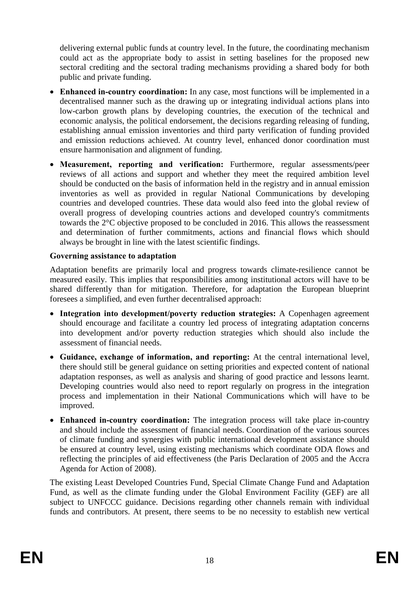delivering external public funds at country level. In the future, the coordinating mechanism could act as the appropriate body to assist in setting baselines for the proposed new sectoral crediting and the sectoral trading mechanisms providing a shared body for both public and private funding.

- **Enhanced in-country coordination:** In any case, most functions will be implemented in a decentralised manner such as the drawing up or integrating individual actions plans into low-carbon growth plans by developing countries, the execution of the technical and economic analysis, the political endorsement, the decisions regarding releasing of funding, establishing annual emission inventories and third party verification of funding provided and emission reductions achieved. At country level, enhanced donor coordination must ensure harmonisation and alignment of funding.
- **Measurement, reporting and verification:** Furthermore, regular assessments/peer reviews of all actions and support and whether they meet the required ambition level should be conducted on the basis of information held in the registry and in annual emission inventories as well as provided in regular National Communications by developing countries and developed countries. These data would also feed into the global review of overall progress of developing countries actions and developed country's commitments towards the 2°C objective proposed to be concluded in 2016. This allows the reassessment and determination of further commitments, actions and financial flows which should always be brought in line with the latest scientific findings.

## **Governing assistance to adaptation**

Adaptation benefits are primarily local and progress towards climate-resilience cannot be measured easily. This implies that responsibilities among institutional actors will have to be shared differently than for mitigation. Therefore, for adaptation the European blueprint foresees a simplified, and even further decentralised approach:

- **Integration into development/poverty reduction strategies:** A Copenhagen agreement should encourage and facilitate a country led process of integrating adaptation concerns into development and/or poverty reduction strategies which should also include the assessment of financial needs.
- **Guidance, exchange of information, and reporting:** At the central international level, there should still be general guidance on setting priorities and expected content of national adaptation responses, as well as analysis and sharing of good practice and lessons learnt. Developing countries would also need to report regularly on progress in the integration process and implementation in their National Communications which will have to be improved.
- **Enhanced in-country coordination:** The integration process will take place in-country and should include the assessment of financial needs. Coordination of the various sources of climate funding and synergies with public international development assistance should be ensured at country level, using existing mechanisms which coordinate ODA flows and reflecting the principles of aid effectiveness (the Paris Declaration of 2005 and the Accra Agenda for Action of 2008).

The existing Least Developed Countries Fund, Special Climate Change Fund and Adaptation Fund, as well as the climate funding under the Global Environment Facility (GEF) are all subject to UNFCCC guidance. Decisions regarding other channels remain with individual funds and contributors. At present, there seems to be no necessity to establish new vertical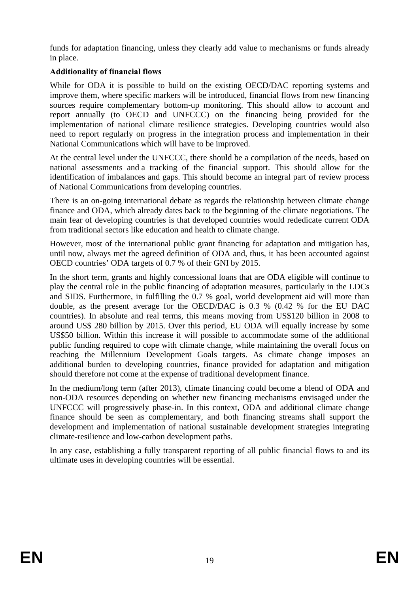funds for adaptation financing, unless they clearly add value to mechanisms or funds already in place.

# **Additionality of financial flows**

While for ODA it is possible to build on the existing OECD/DAC reporting systems and improve them, where specific markers will be introduced, financial flows from new financing sources require complementary bottom-up monitoring. This should allow to account and report annually (to OECD and UNFCCC) on the financing being provided for the implementation of national climate resilience strategies. Developing countries would also need to report regularly on progress in the integration process and implementation in their National Communications which will have to be improved.

At the central level under the UNFCCC, there should be a compilation of the needs, based on national assessments and a tracking of the financial support. This should allow for the identification of imbalances and gaps. This should become an integral part of review process of National Communications from developing countries.

There is an on-going international debate as regards the relationship between climate change finance and ODA, which already dates back to the beginning of the climate negotiations. The main fear of developing countries is that developed countries would rededicate current ODA from traditional sectors like education and health to climate change.

However, most of the international public grant financing for adaptation and mitigation has, until now, always met the agreed definition of ODA and, thus, it has been accounted against OECD countries' ODA targets of 0.7 % of their GNI by 2015.

In the short term, grants and highly concessional loans that are ODA eligible will continue to play the central role in the public financing of adaptation measures, particularly in the LDCs and SIDS. Furthermore, in fulfilling the 0.7 % goal, world development aid will more than double, as the present average for the OECD/DAC is 0.3 % (0.42 % for the EU DAC countries). In absolute and real terms, this means moving from US\$120 billion in 2008 to around US\$ 280 billion by 2015. Over this period, EU ODA will equally increase by some US\$50 billion. Within this increase it will possible to accommodate some of the additional public funding required to cope with climate change, while maintaining the overall focus on reaching the Millennium Development Goals targets. As climate change imposes an additional burden to developing countries, finance provided for adaptation and mitigation should therefore not come at the expense of traditional development finance.

In the medium/long term (after 2013), climate financing could become a blend of ODA and non-ODA resources depending on whether new financing mechanisms envisaged under the UNFCCC will progressively phase-in. In this context, ODA and additional climate change finance should be seen as complementary, and both financing streams shall support the development and implementation of national sustainable development strategies integrating climate-resilience and low-carbon development paths.

In any case, establishing a fully transparent reporting of all public financial flows to and its ultimate uses in developing countries will be essential.